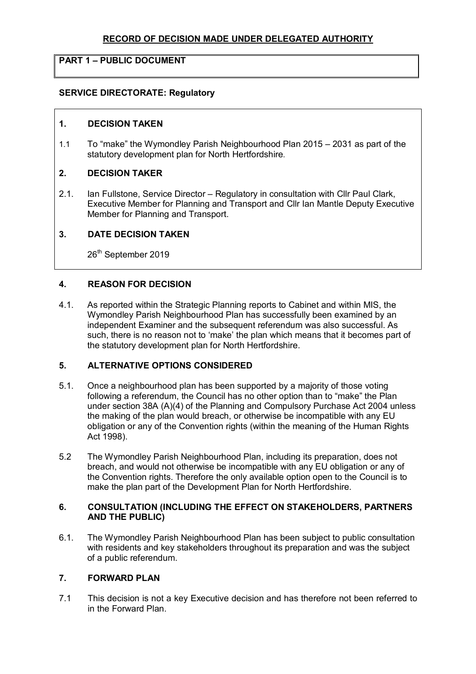# **RECORD OF DECISION MADE UNDER DELEGATED AUTHORITY**

# **PART 1 – PUBLIC DOCUMENT**

# **SERVICE DIRECTORATE: Regulatory**

## **1. DECISION TAKEN**

1.1 To "make" the Wymondley Parish Neighbourhood Plan 2015 – 2031 as part of the statutory development plan for North Hertfordshire.

#### **2. DECISION TAKER**

2.1. Ian Fullstone, Service Director – Regulatory in consultation with Cllr Paul Clark, Executive Member for Planning and Transport and Cllr Ian Mantle Deputy Executive Member for Planning and Transport.

#### **3. DATE DECISION TAKEN**

26<sup>th</sup> September 2019

## **4. REASON FOR DECISION**

4.1. As reported within the Strategic Planning reports to Cabinet and within MIS, the Wymondley Parish Neighbourhood Plan has successfully been examined by an independent Examiner and the subsequent referendum was also successful. As such, there is no reason not to 'make' the plan which means that it becomes part of the statutory development plan for North Hertfordshire.

# **5. ALTERNATIVE OPTIONS CONSIDERED**

- 5.1. Once a neighbourhood plan has been supported by a majority of those voting following a referendum, the Council has no other option than to "make" the Plan under section 38A (A)(4) of the Planning and Compulsory Purchase Act 2004 unless the making of the plan would breach, or otherwise be incompatible with any EU obligation or any of the Convention rights (within the meaning of the Human Rights Act 1998).
- 5.2 The Wymondley Parish Neighbourhood Plan, including its preparation, does not breach, and would not otherwise be incompatible with any EU obligation or any of the Convention rights. Therefore the only available option open to the Council is to make the plan part of the Development Plan for North Hertfordshire.

### **6. CONSULTATION (INCLUDING THE EFFECT ON STAKEHOLDERS, PARTNERS AND THE PUBLIC)**

6.1. The Wymondley Parish Neighbourhood Plan has been subject to public consultation with residents and key stakeholders throughout its preparation and was the subject of a public referendum.

#### **7. FORWARD PLAN**

7.1 This decision is not a key Executive decision and has therefore not been referred to in the Forward Plan.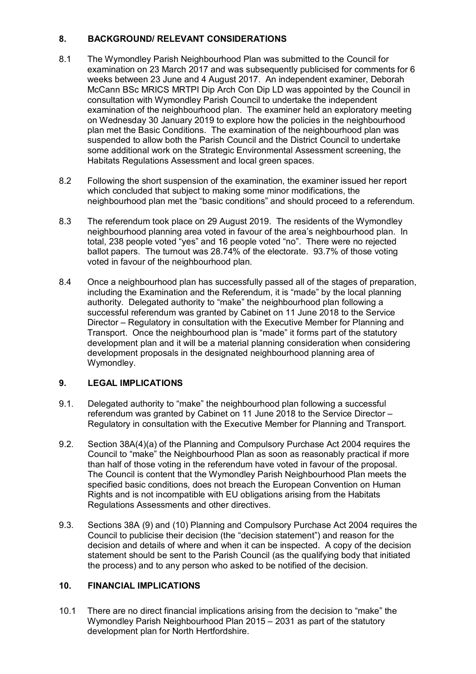# **8. BACKGROUND/ RELEVANT CONSIDERATIONS**

- 8.1 The Wymondley Parish Neighbourhood Plan was submitted to the Council for examination on 23 March 2017 and was subsequently publicised for comments for 6 weeks between 23 June and 4 August 2017. An independent examiner, Deborah McCann BSc MRICS MRTPI Dip Arch Con Dip LD was appointed by the Council in consultation with Wymondley Parish Council to undertake the independent examination of the neighbourhood plan. The examiner held an exploratory meeting on Wednesday 30 January 2019 to explore how the policies in the neighbourhood plan met the Basic Conditions. The examination of the neighbourhood plan was suspended to allow both the Parish Council and the District Council to undertake some additional work on the Strategic Environmental Assessment screening, the Habitats Regulations Assessment and local green spaces.
- 8.2 Following the short suspension of the examination, the examiner issued her report which concluded that subject to making some minor modifications, the neighbourhood plan met the "basic conditions" and should proceed to a referendum.
- 8.3 The referendum took place on 29 August 2019. The residents of the Wymondley neighbourhood planning area voted in favour of the area's neighbourhood plan. In total, 238 people voted "yes" and 16 people voted "no". There were no rejected ballot papers. The turnout was 28.74% of the electorate. 93.7% of those voting voted in favour of the neighbourhood plan.
- 8.4 Once a neighbourhood plan has successfully passed all of the stages of preparation, including the Examination and the Referendum, it is "made" by the local planning authority. Delegated authority to "make" the neighbourhood plan following a successful referendum was granted by Cabinet on 11 June 2018 to the Service Director – Regulatory in consultation with the Executive Member for Planning and Transport. Once the neighbourhood plan is "made" it forms part of the statutory development plan and it will be a material planning consideration when considering development proposals in the designated neighbourhood planning area of Wymondley.

# **9. LEGAL IMPLICATIONS**

- 9.1. Delegated authority to "make" the neighbourhood plan following a successful referendum was granted by Cabinet on 11 June 2018 to the Service Director – Regulatory in consultation with the Executive Member for Planning and Transport.
- 9.2. Section 38A(4)(a) of the Planning and Compulsory Purchase Act 2004 requires the Council to "make" the Neighbourhood Plan as soon as reasonably practical if more than half of those voting in the referendum have voted in favour of the proposal. The Council is content that the Wymondley Parish Neighbourhood Plan meets the specified basic conditions, does not breach the European Convention on Human Rights and is not incompatible with EU obligations arising from the Habitats Regulations Assessments and other directives.
- 9.3. Sections 38A (9) and (10) Planning and Compulsory Purchase Act 2004 requires the Council to publicise their decision (the "decision statement") and reason for the decision and details of where and when it can be inspected. A copy of the decision statement should be sent to the Parish Council (as the qualifying body that initiated the process) and to any person who asked to be notified of the decision.

# **10. FINANCIAL IMPLICATIONS**

10.1 There are no direct financial implications arising from the decision to "make" the Wymondley Parish Neighbourhood Plan 2015 – 2031 as part of the statutory development plan for North Hertfordshire.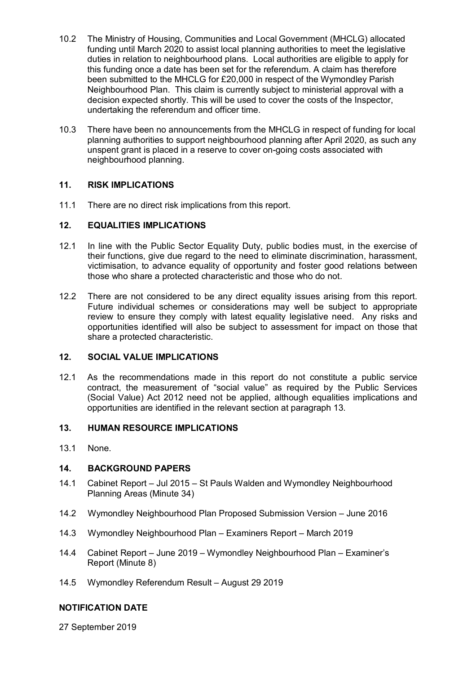- 10.2 The Ministry of Housing, Communities and Local Government (MHCLG) allocated funding until March 2020 to assist local planning authorities to meet the legislative duties in relation to neighbourhood plans. Local authorities are eligible to apply for this funding once a date has been set for the referendum. A claim has therefore been submitted to the MHCLG for £20,000 in respect of the Wymondley Parish Neighbourhood Plan. This claim is currently subject to ministerial approval with a decision expected shortly. This will be used to cover the costs of the Inspector, undertaking the referendum and officer time.
- 10.3 There have been no announcements from the MHCLG in respect of funding for local planning authorities to support neighbourhood planning after April 2020, as such any unspent grant is placed in a reserve to cover on-going costs associated with neighbourhood planning.

# **11. RISK IMPLICATIONS**

11.1 There are no direct risk implications from this report.

# **12. EQUALITIES IMPLICATIONS**

- 12.1 In line with the Public Sector Equality Duty, public bodies must, in the exercise of their functions, give due regard to the need to eliminate discrimination, harassment, victimisation, to advance equality of opportunity and foster good relations between those who share a protected characteristic and those who do not.
- 12.2 There are not considered to be any direct equality issues arising from this report. Future individual schemes or considerations may well be subject to appropriate review to ensure they comply with latest equality legislative need. Any risks and opportunities identified will also be subject to assessment for impact on those that share a protected characteristic.

## **12. SOCIAL VALUE IMPLICATIONS**

12.1 As the recommendations made in this report do not constitute a public service contract, the measurement of "social value" as required by the Public Services (Social Value) Act 2012 need not be applied, although equalities implications and opportunities are identified in the relevant section at paragraph 13.

# **13. HUMAN RESOURCE IMPLICATIONS**

13.1 None.

## **14. BACKGROUND PAPERS**

- 14.1 Cabinet Report Jul 2015 St Pauls Walden and Wymondley Neighbourhood Planning Areas (Minute 34)
- 14.2 Wymondley Neighbourhood Plan Proposed Submission Version June 2016
- 14.3 Wymondley Neighbourhood Plan Examiners Report March 2019
- 14.4 Cabinet Report June 2019 Wymondley Neighbourhood Plan Examiner's Report (Minute 8)
- 14.5 Wymondley Referendum Result August 29 2019

## **NOTIFICATION DATE**

27 September 2019